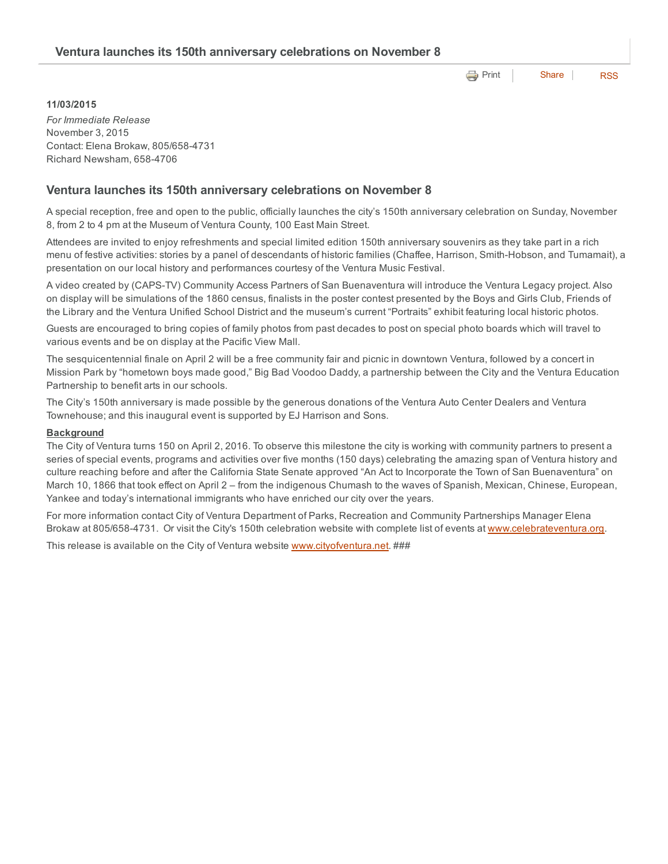**e** [Print](http://www.cityofventura.net/print/17219) | [Share](javascript:void(0)) | [RSS](http://www.cityofventura.net/feed/press_release/rss.xml)

### 11/03/2015

*For Immediate Release* November 3, 2015 Contact: Elena Brokaw, 805/658-4731 Richard Newsham, 6584706

### Ventura launches its 150th anniversary celebrations on November 8

A special reception, free and open to the public, officially launches the city's 150th anniversary celebration on Sunday, November 8, from 2 to 4 pm at the Museum of Ventura County, 100 East Main Street.

Attendees are invited to enjoy refreshments and special limited edition 150th anniversary souvenirs as they take part in a rich menu of festive activities: stories by a panel of descendants of historic families (Chaffee, Harrison, Smith-Hobson, and Tumamait), a presentation on our local history and performances courtesy of the Ventura Music Festival.

A video created by (CAPSTV) Community Access Partners of San Buenaventura will introduce the Ventura Legacy project. Also on display will be simulations of the 1860 census, finalists in the poster contest presented by the Boys and Girls Club, Friends of the Library and the Ventura Unified School District and the museum's current "Portraits" exhibit featuring local historic photos.

Guests are encouraged to bring copies of family photos from past decades to post on special photo boards which will travel to various events and be on display at the Pacific View Mall.

The sesquicentennial finale on April 2 will be a free community fair and picnic in downtown Ventura, followed by a concert in Mission Park by "hometown boys made good," Big Bad Voodoo Daddy, a partnership between the City and the Ventura Education Partnership to benefit arts in our schools.

The City's 150th anniversary is made possible by the generous donations of the Ventura Auto Center Dealers and Ventura Townehouse; and this inaugural event is supported by EJ Harrison and Sons.

#### **Background**

The City of Ventura turns 150 on April 2, 2016. To observe this milestone the city is working with community partners to present a series of special events, programs and activities over five months (150 days) celebrating the amazing span of Ventura history and culture reaching before and after the California State Senate approved "An Act to Incorporate the Town of San Buenaventura" on March 10, 1866 that took effect on April 2 – from the indigenous Chumash to the waves of Spanish, Mexican, Chinese, European, Yankee and today's international immigrants who have enriched our city over the years.

For more information contact City of Ventura Department of Parks, Recreation and Community Partnerships Manager Elena Brokaw at 805/658-4731. Or visit the City's 150th celebration website with complete list of events at [www.celebrateventura.org](http://www.celebrateventura.org/).

This release is available on the City of Ventura website [www.cityofventura.net](http://www.cityofventura.net/). ###